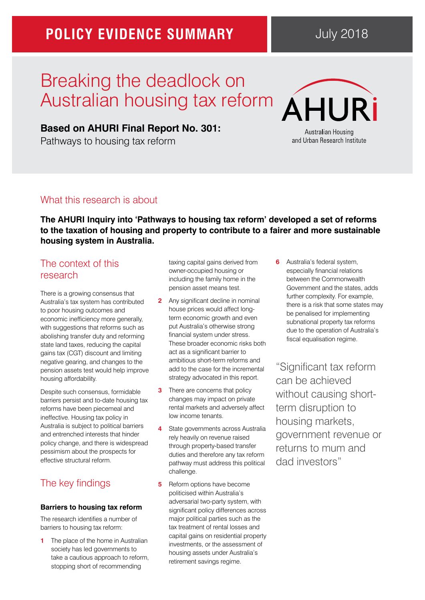## **POLICY EVIDENCE SUMMARY**

# Breaking the deadlock on Australian housing tax reform

### **[Based on AHURI Final Report No. 301:](https://www.ahuri.edu.au/research/final-reports/301)**

Pathways to housing tax reform



**The AHURI Inquiry into 'Pathways to housing tax reform' developed a set of reforms to the taxation of housing and property to contribute to a fairer and more sustainable housing system in Australia.**

### The context of this research

There is a growing consensus that Australia's tax system has contributed to poor housing outcomes and economic inefficiency more generally, with suggestions that reforms such as abolishing transfer duty and reforming state land taxes, reducing the capital gains tax (CGT) discount and limiting negative gearing, and changes to the pension assets test would help improve housing affordability.

Despite such consensus, formidable barriers persist and to-date housing tax reforms have been piecemeal and ineffective. Housing tax policy in Australia is subject to political barriers and entrenched interests that hinder policy change, and there is widespread pessimism about the prospects for effective structural reform.

## The key findings

#### **Barriers to housing tax reform**

The research identifies a number of barriers to housing tax reform:

**1** The place of the home in Australian society has led governments to take a cautious approach to reform, stopping short of recommending

taxing capital gains derived from owner-occupied housing or including the family home in the pension asset means test.

- **2** Any significant decline in nominal house prices would affect longterm economic growth and even put Australia's otherwise strong financial system under stress. These broader economic risks both act as a significant barrier to ambitious short-term reforms and add to the case for the incremental strategy advocated in this report.
- **3** There are concerns that policy changes may impact on private rental markets and adversely affect low income tenants.
- **4** State governments across Australia rely heavily on revenue raised through property-based transfer duties and therefore any tax reform pathway must address this political challenge.
- **5** Reform options have become politicised within Australia's adversarial two-party system, with significant policy differences across major political parties such as the tax treatment of rental losses and capital gains on residential property investments, or the assessment of housing assets under Australia's retirement savings regime.

**6** Australia's federal system, especially financial relations between the Commonwealth Government and the states, adds further complexity. For example, there is a risk that some states may be penalised for implementing subnational property tax reforms due to the operation of Australia's fiscal equalisation regime.

"Significant tax reform can be achieved without causing shortterm disruption to housing markets, government revenue or returns to mum and dad investors"

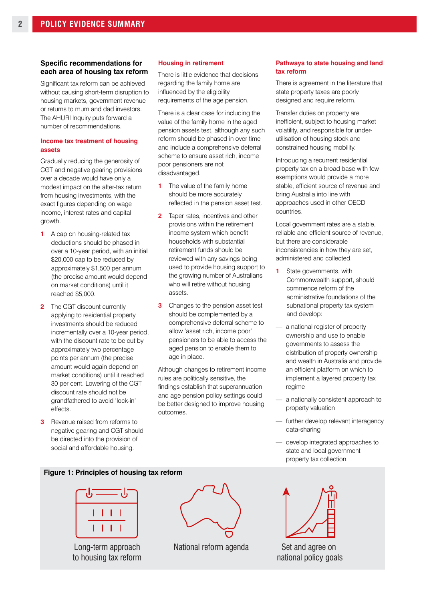#### **Specific recommendations for each area of housing tax reform**

Significant tax reform can be achieved without causing short-term disruption to housing markets, government revenue or returns to mum and dad investors. The AHURI Inquiry puts forward a number of recommendations.

#### **Income tax treatment of housing assets**

Gradually reducing the generosity of CGT and negative gearing provisions over a decade would have only a modest impact on the after-tax return from housing investments, with the exact figures depending on wage income, interest rates and capital growth.

- **1** A cap on housing-related tax deductions should be phased in over a 10-year period, with an initial \$20,000 cap to be reduced by approximately \$1,500 per annum (the precise amount would depend on market conditions) until it reached \$5,000.
- **2** The CGT discount currently applying to residential property investments should be reduced incrementally over a 10-year period. with the discount rate to be cut by approximately two percentage points per annum (the precise amount would again depend on market conditions) until it reached 30 per cent. Lowering of the CGT discount rate should not be grandfathered to avoid 'lock-in' effects.
- **3** Revenue raised from reforms to negative gearing and CGT should be directed into the provision of social and affordable housing.

#### **Housing in retirement**

There is little evidence that decisions regarding the family home are influenced by the eligibility requirements of the age pension.

There is a clear case for including the value of the family home in the aged pension assets test, although any such reform should be phased in over time and include a comprehensive deferral scheme to ensure asset rich, income poor pensioners are not disadvantaged.

- **1** The value of the family home should be more accurately reflected in the pension asset test.
- **2** Taper rates, incentives and other provisions within the retirement income system which benefit households with substantial retirement funds should be reviewed with any savings being used to provide housing support to the growing number of Australians who will retire without housing assets.
- **3** Changes to the pension asset test should be complemented by a comprehensive deferral scheme to allow 'asset rich, income poor' pensioners to be able to access the aged pension to enable them to age in place.

Although changes to retirement income rules are politically sensitive, the findings establish that superannuation and age pension policy settings could be better designed to improve housing outcomes.

#### **Pathways to state housing and land tax reform**

There is agreement in the literature that state property taxes are poorly designed and require reform.

Transfer duties on property are inefficient, subject to housing market volatility, and responsible for underutilisation of housing stock and constrained housing mobility.

Introducing a recurrent residential property tax on a broad base with few exemptions would provide a more stable, efficient source of revenue and bring Australia into line with approaches used in other OECD countries.

Local government rates are a stable, reliable and efficient source of revenue, but there are considerable inconsistencies in how they are set, administered and collected.

- **1** State governments, with Commonwealth support, should commence reform of the administrative foundations of the subnational property tax system and develop:
- a national register of property ownership and use to enable governments to assess the distribution of property ownership and wealth in Australia and provide an efficient platform on which to implement a layered property tax regime
- a nationally consistent approach to property valuation
- further develop relevant interagency data-sharing
- develop integrated approaches to state and local government property tax collection.

#### **Figure 1: Principles of housing tax reform**



Long-term approach to housing tax reform



National reform agenda Set and agree on



national policy goals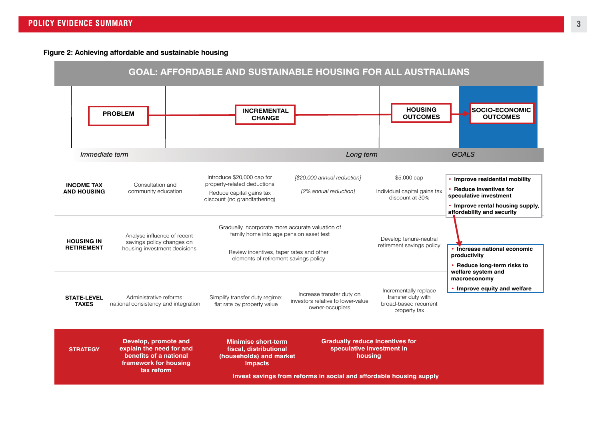**Figure 2: Achieving affordable and sustainable housing**